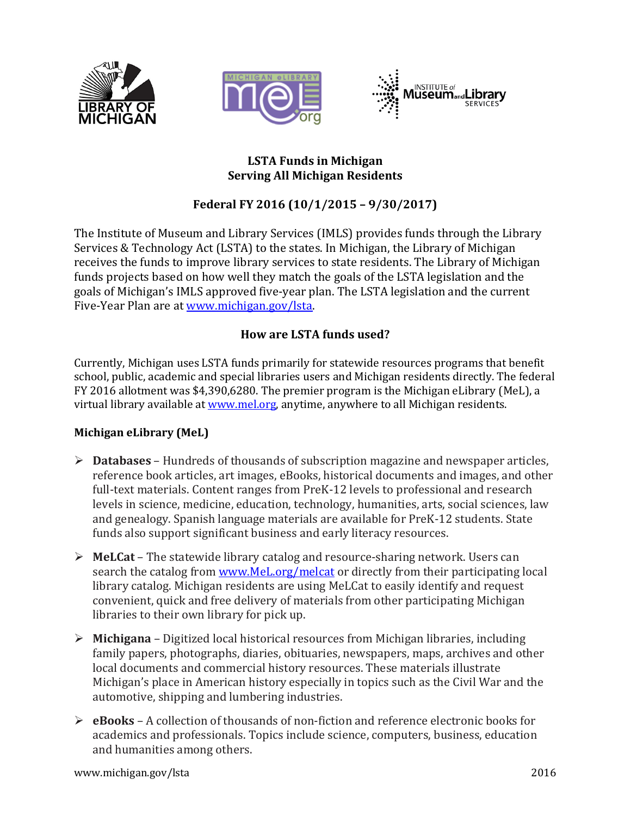





### **LSTA Funds in Michigan Serving All Michigan Residents**

# **Federal FY 2016 (10/1/2015 – 9/30/2017)**

The Institute of Museum and Library Services (IMLS) provides funds through the Library Services & Technology Act (LSTA) to the states. In Michigan, the Library of Michigan receives the funds to improve library services to state residents. The Library of Michigan funds projects based on how well they match the goals of the LSTA legislation and the goals of Michigan's IMLS approved five-year plan. The LSTA legislation and the current Five-Year Plan are at [www.michigan.gov/lsta.](http://www.michigan.gov/lsta) 

## **How are LSTA funds used?**

Currently, Michigan uses LSTA funds primarily for statewide resources programs that benefit school, public, academic and special libraries users and Michigan residents directly. The federal FY 2016 allotment was \$4,390,6280. The premier program is the Michigan eLibrary (MeL), a virtual library available at [www.mel.org,](http://www.mel.org/) anytime, anywhere to all Michigan residents.

### **Michigan eLibrary (MeL)**

- **Databases**  Hundreds of thousands of subscription magazine and newspaper articles, reference book articles, art images, eBooks, historical documents and images, and other full-text materials. Content ranges from PreK-12 levels to professional and research levels in science, medicine, education, technology, humanities, arts, social sciences, law and genealogy. Spanish language materials are available for PreK-12 students. State funds also support significant business and early literacy resources.
- **MeLCat**  The statewide library catalog and resource-sharing network. Users can search the catalog from [www.MeL.org/](http://www.mel.org/)melcat or directly from their participating local library catalog. Michigan residents are using MeLCat to easily identify and request convenient, quick and free delivery of materials from other participating Michigan libraries to their own library for pick up.
- **Michigana**  Digitized local historical resources from Michigan libraries, including family papers, photographs, diaries, obituaries, newspapers, maps, archives and other local documents and commercial history resources. These materials illustrate Michigan's place in American history especially in topics such as the Civil War and the automotive, shipping and lumbering industries.
- **eBooks**  A collection of thousands of non-fiction and reference electronic books for academics and professionals. Topics include science, computers, business, education and humanities among others.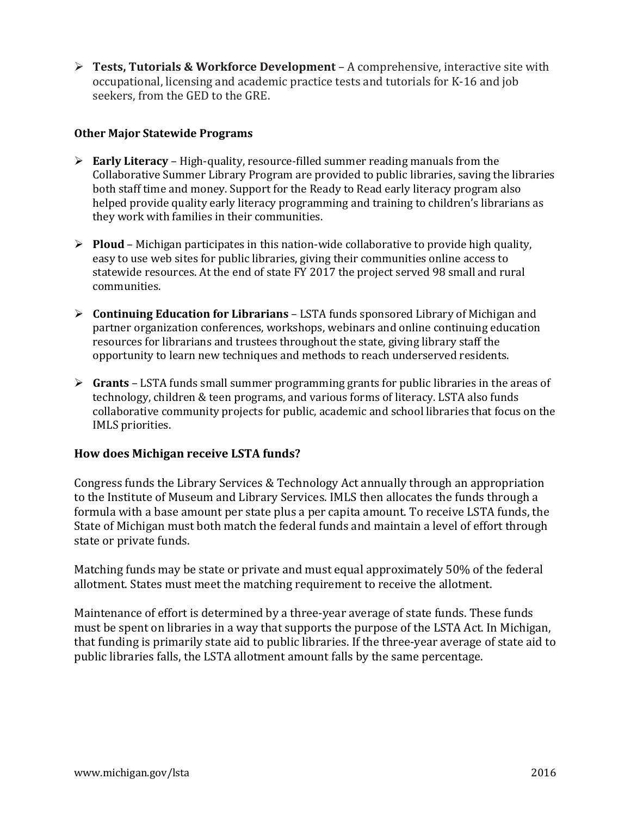**Tests, Tutorials & Workforce Development** – A comprehensive, interactive site with occupational, licensing and academic practice tests and tutorials for K-16 and job seekers, from the GED to the GRE.

#### **Other Major Statewide Programs**

- **Early Literacy** High-quality, resource-filled summer reading manuals from the Collaborative Summer Library Program are provided to public libraries, saving the libraries both staff time and money. Support for the Ready to Read early literacy program also helped provide quality early literacy programming and training to children's librarians as they work with families in their communities.
- $\triangleright$  **Ploud** Michigan participates in this nation-wide collaborative to provide high quality, easy to use web sites for public libraries, giving their communities online access to statewide resources. At the end of state FY 2017 the project served 98 small and rural communities.
- **Continuing Education for Librarians** LSTA funds sponsored Library of Michigan and partner organization conferences, workshops, webinars and online continuing education resources for librarians and trustees throughout the state, giving library staff the opportunity to learn new techniques and methods to reach underserved residents.
- **Grants** LSTA funds small summer programming grants for public libraries in the areas of technology, children & teen programs, and various forms of literacy. LSTA also funds collaborative community projects for public, academic and school libraries that focus on the IMLS priorities.

### **How does Michigan receive LSTA funds?**

Congress funds the Library Services & Technology Act annually through an appropriation to the Institute of Museum and Library Services. IMLS then allocates the funds through a formula with a base amount per state plus a per capita amount. To receive LSTA funds, the State of Michigan must both match the federal funds and maintain a level of effort through state or private funds.

Matching funds may be state or private and must equal approximately 50% of the federal allotment. States must meet the matching requirement to receive the allotment.

Maintenance of effort is determined by a three-year average of state funds. These funds must be spent on libraries in a way that supports the purpose of the LSTA Act. In Michigan, that funding is primarily state aid to public libraries. If the three-year average of state aid to public libraries falls, the LSTA allotment amount falls by the same percentage.